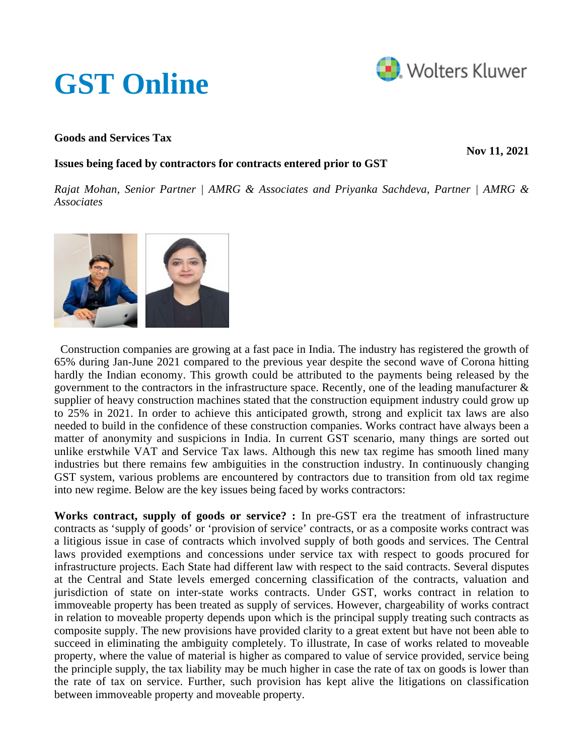# **[GST Online](https://www.gst.cchtaxonline.com/web/gst/home)**



### **Goods and Services Tax**

**Nov 11, 2021**

## **Issues being faced by contractors for contracts entered prior to GST**

*Rajat Mohan, Senior Partner | AMRG & Associates and Priyanka Sachdeva, Partner | AMRG & Associates*



 Construction companies are growing at a fast pace in India. The industry has registered the growth of 65% during Jan-June 2021 compared to the previous year despite the second wave of Corona hitting hardly the Indian economy. This growth could be attributed to the payments being released by the government to the contractors in the infrastructure space. Recently, one of the leading manufacturer & supplier of heavy construction machines stated that the construction equipment industry could grow up to 25% in 2021. In order to achieve this anticipated growth, strong and explicit tax laws are also needed to build in the confidence of these construction companies. Works contract have always been a matter of anonymity and suspicions in India. In current GST scenario, many things are sorted out unlike erstwhile VAT and Service Tax laws. Although this new tax regime has smooth lined many industries but there remains few ambiguities in the construction industry. In continuously changing GST system, various problems are encountered by contractors due to transition from old tax regime into new regime. Below are the key issues being faced by works contractors:

**Works contract, supply of goods or service? :** In pre-GST era the treatment of infrastructure contracts as 'supply of goods' or 'provision of service' contracts, or as a composite works contract was a litigious issue in case of contracts which involved supply of both goods and services. The Central laws provided exemptions and concessions under service tax with respect to goods procured for infrastructure projects. Each State had different law with respect to the said contracts. Several disputes at the Central and State levels emerged concerning classification of the contracts, valuation and jurisdiction of state on inter-state works contracts. Under GST, works contract in relation to immoveable property has been treated as supply of services. However, chargeability of works contract in relation to moveable property depends upon which is the principal supply treating such contracts as composite supply. The new provisions have provided clarity to a great extent but have not been able to succeed in eliminating the ambiguity completely. To illustrate, In case of works related to moveable property, where the value of material is higher as compared to value of service provided, service being the principle supply, the tax liability may be much higher in case the rate of tax on goods is lower than the rate of tax on service. Further, such provision has kept alive the litigations on classification between immoveable property and moveable property.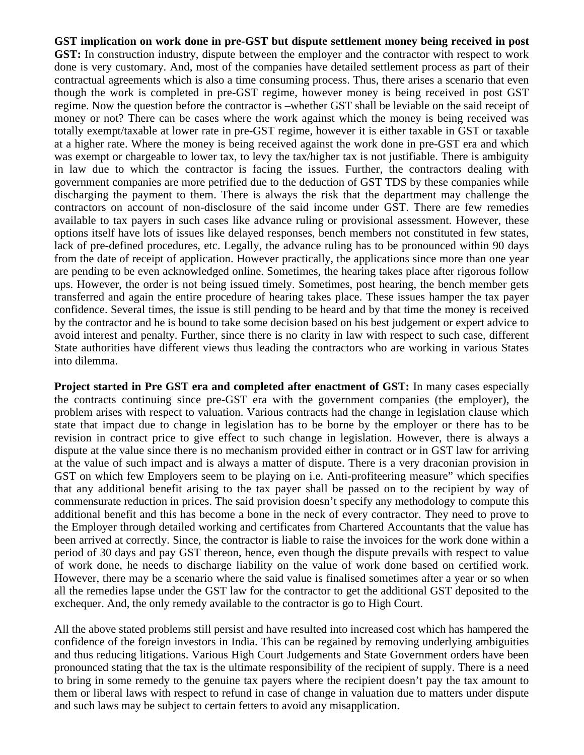**GST implication on work done in pre-GST but dispute settlement money being received in post GST:** In construction industry, dispute between the employer and the contractor with respect to work done is very customary. And, most of the companies have detailed settlement process as part of their contractual agreements which is also a time consuming process. Thus, there arises a scenario that even though the work is completed in pre-GST regime, however money is being received in post GST regime. Now the question before the contractor is –whether GST shall be leviable on the said receipt of money or not? There can be cases where the work against which the money is being received was totally exempt/taxable at lower rate in pre-GST regime, however it is either taxable in GST or taxable at a higher rate. Where the money is being received against the work done in pre-GST era and which was exempt or chargeable to lower tax, to levy the tax/higher tax is not justifiable. There is ambiguity in law due to which the contractor is facing the issues. Further, the contractors dealing with government companies are more petrified due to the deduction of GST TDS by these companies while discharging the payment to them. There is always the risk that the department may challenge the contractors on account of non-disclosure of the said income under GST. There are few remedies available to tax payers in such cases like advance ruling or provisional assessment. However, these options itself have lots of issues like delayed responses, bench members not constituted in few states, lack of pre-defined procedures, etc. Legally, the advance ruling has to be pronounced within 90 days from the date of receipt of application. However practically, the applications since more than one year are pending to be even acknowledged online. Sometimes, the hearing takes place after rigorous follow ups. However, the order is not being issued timely. Sometimes, post hearing, the bench member gets transferred and again the entire procedure of hearing takes place. These issues hamper the tax payer confidence. Several times, the issue is still pending to be heard and by that time the money is received by the contractor and he is bound to take some decision based on his best judgement or expert advice to avoid interest and penalty. Further, since there is no clarity in law with respect to such case, different State authorities have different views thus leading the contractors who are working in various States into dilemma.

**Project started in Pre GST era and completed after enactment of GST:** In many cases especially the contracts continuing since pre-GST era with the government companies (the employer), the problem arises with respect to valuation. Various contracts had the change in legislation clause which state that impact due to change in legislation has to be borne by the employer or there has to be revision in contract price to give effect to such change in legislation. However, there is always a dispute at the value since there is no mechanism provided either in contract or in GST law for arriving at the value of such impact and is always a matter of dispute. There is a very draconian provision in GST on which few Employers seem to be playing on i.e. Anti-profiteering measure" which specifies that any additional benefit arising to the tax payer shall be passed on to the recipient by way of commensurate reduction in prices. The said provision doesn't specify any methodology to compute this additional benefit and this has become a bone in the neck of every contractor. They need to prove to the Employer through detailed working and certificates from Chartered Accountants that the value has been arrived at correctly. Since, the contractor is liable to raise the invoices for the work done within a period of 30 days and pay GST thereon, hence, even though the dispute prevails with respect to value of work done, he needs to discharge liability on the value of work done based on certified work. However, there may be a scenario where the said value is finalised sometimes after a year or so when all the remedies lapse under the GST law for the contractor to get the additional GST deposited to the exchequer. And, the only remedy available to the contractor is go to High Court.

All the above stated problems still persist and have resulted into increased cost which has hampered the confidence of the foreign investors in India. This can be regained by removing underlying ambiguities and thus reducing litigations. Various High Court Judgements and State Government orders have been pronounced stating that the tax is the ultimate responsibility of the recipient of supply. There is a need to bring in some remedy to the genuine tax payers where the recipient doesn't pay the tax amount to them or liberal laws with respect to refund in case of change in valuation due to matters under dispute and such laws may be subject to certain fetters to avoid any misapplication.